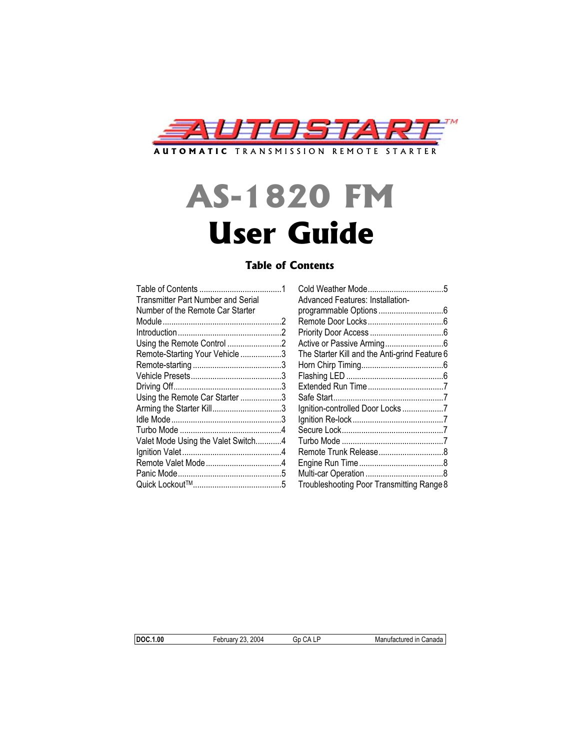

# **AS-1820 FM User Guide**

# **Table of Contents**

| <b>Transmitter Part Number and Serial</b> |  |
|-------------------------------------------|--|
| Number of the Remote Car Starter          |  |
|                                           |  |
|                                           |  |
|                                           |  |
| Remote-Starting Your Vehicle 3            |  |
|                                           |  |
|                                           |  |
|                                           |  |
| Using the Remote Car Starter 3            |  |
| Arming the Starter Kill3                  |  |
|                                           |  |
|                                           |  |
| Valet Mode Using the Valet Switch4        |  |
|                                           |  |
|                                           |  |
|                                           |  |
|                                           |  |
|                                           |  |

| <b>Transmitter Part Number and Serial</b> | Advanced Features: Installation-              |
|-------------------------------------------|-----------------------------------------------|
| Number of the Remote Car Starter          |                                               |
|                                           |                                               |
|                                           |                                               |
| Using the Remote Control 2                |                                               |
| Remote-Starting Your Vehicle 3            | The Starter Kill and the Anti-grind Feature 6 |
|                                           |                                               |
|                                           |                                               |
|                                           |                                               |
| Using the Remote Car Starter 3            |                                               |
| Arming the Starter Kill3                  | Ignition-controlled Door Locks7               |
|                                           |                                               |
|                                           |                                               |
| Valet Mode Using the Valet Switch4        |                                               |
|                                           |                                               |
|                                           |                                               |
|                                           |                                               |
|                                           | Troubleshooting Poor Transmitting Range 8     |
|                                           |                                               |

**DOC.1.00** February 23, 2004 Gp CA LP Manufactured in Canada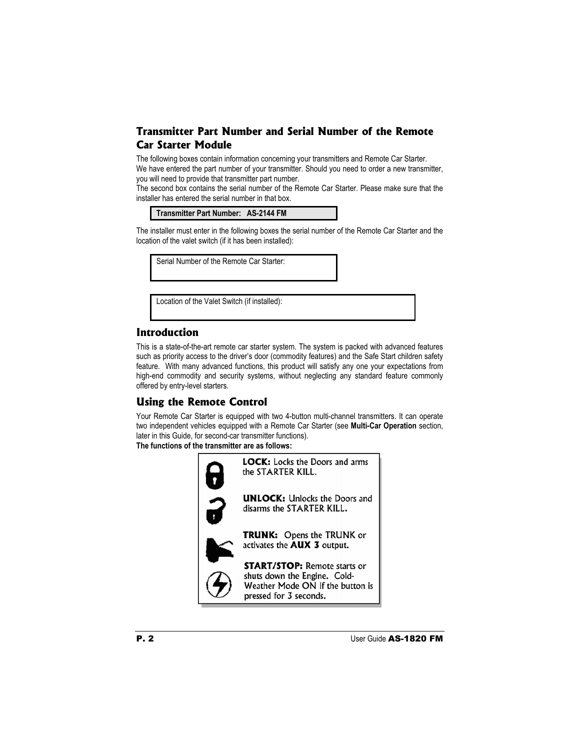# **Transmitter Part Number and Serial Number of the Remote Car Starter Module**

The following boxes contain information concerning your transmitters and Remote Car Starter. We have entered the part number of your transmitter. Should you need to order a new transmitter, you will need to provide that transmitter part number.

The second box contains the serial number of the Remote Car Starter. Please make sure that the installer has entered the serial number in that box.

| Transmitter Part Number: AS-2144 FM |  |
|-------------------------------------|--|
|-------------------------------------|--|

The installer must enter in the following boxes the serial number of the Remote Car Starter and the location of the valet switch (if it has been installed):

Serial Number of the Remote Car Starter:

Location of the Valet Switch (if installed):

# **Introduction**

This is a state-of-the-art remote car starter system. The system is packed with advanced features such as priority access to the driver's door (commodity features) and the Safe Start children safety feature. With many advanced functions, this product will satisfy any one your expectations from high-end commodity and security systems, without neglecting any standard feature commonly offered by entry-level starters.

# **Using the Remote Control**

Your Remote Car Starter is equipped with two 4-button multi-channel transmitters. It can operate two independent vehicles equipped with a Remote Car Starter (see **Multi-Car Operation** section, later in this Guide, for second-car transmitter functions).

**The functions of the transmitter are as follows:** 

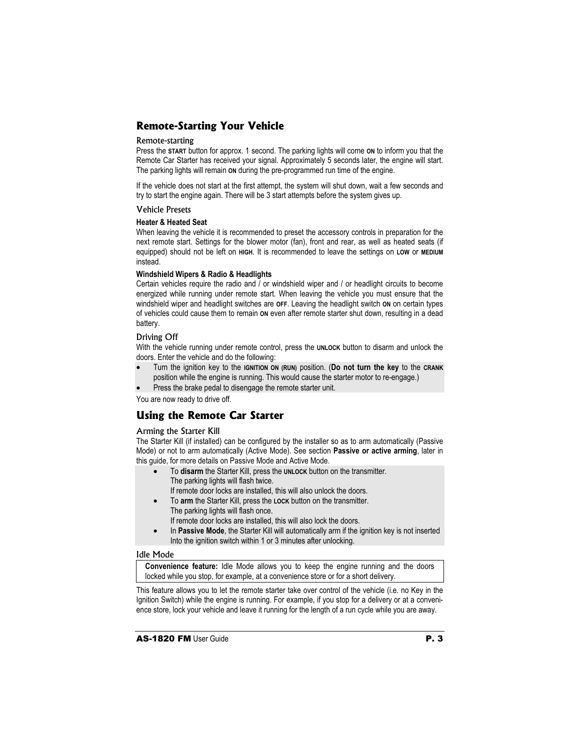# **Remote-Starting Your Vehicle**

### Remote-starting

Press the **START** button for approx. 1 second. The parking lights will come **ON** to inform you that the Remote Car Starter has received your signal. Approximately 5 seconds later, the engine will start. The parking lights will remain **ON** during the pre-programmed run time of the engine.

If the vehicle does not start at the first attempt, the system will shut down, wait a few seconds and try to start the engine again. There will be 3 start attempts before the system gives up.

### Vehicle Presets

#### **Heater & Heated Seat**

When leaving the vehicle it is recommended to preset the accessory controls in preparation for the next remote start. Settings for the blower motor (fan), front and rear, as well as heated seats (if equipped) should not be left on **HIGH**. It is recommended to leave the settings on **LOW** or **MEDIUM** instead.

#### **Windshield Wipers & Radio & Headlights**

Certain vehicles require the radio and / or windshield wiper and / or headlight circuits to become energized while running under remote start. When leaving the vehicle you must ensure that the windshield wiper and headlight switches are **OFF**. Leaving the headlight switch **ON** on certain types of vehicles could cause them to remain **ON** even after remote starter shut down, resulting in a dead battery.

# Driving Off

With the vehicle running under remote control, press the **UNLOCK** button to disarm and unlock the doors. Enter the vehicle and do the following:

- Turn the ignition key to the **IGNITION ON (RUN)** position. (**Do not turn the key** to the **CRANK** position while the engine is running. This would cause the starter motor to re-engage.)
- Press the brake pedal to disengage the remote starter unit.

You are now ready to drive off.

# **Using the Remote Car Starter**

# Arming the Starter Kill

The Starter Kill (if installed) can be configured by the installer so as to arm automatically (Passive Mode) or not to arm automatically (Active Mode). See section **Passive or active arming**, later in this guide, for more details on Passive Mode and Active Mode.

- To **disarm** the Starter Kill, press the **UNLOCK** button on the transmitter. The parking lights will flash twice.
	- If remote door locks are installed, this will also unlock the doors.
- To **arm** the Starter Kill, press the **LOCK** button on the transmitter. The parking lights will flash once.
	- If remote door locks are installed, this will also lock the doors.
- In **Passive Mode**, the Starter Kill will automatically arm if the ignition key is not inserted Into the ignition switch within 1 or 3 minutes after unlocking.

# Idle Mode

**Convenience feature:** Idle Mode allows you to keep the engine running and the doors locked while you stop, for example, at a convenience store or for a short delivery.

This feature allows you to let the remote starter take over control of the vehicle (i.e. no Key in the Ignition Switch) while the engine is running. For example, if you stop for a delivery or at a convenience store, lock your vehicle and leave it running for the length of a run cycle while you are away.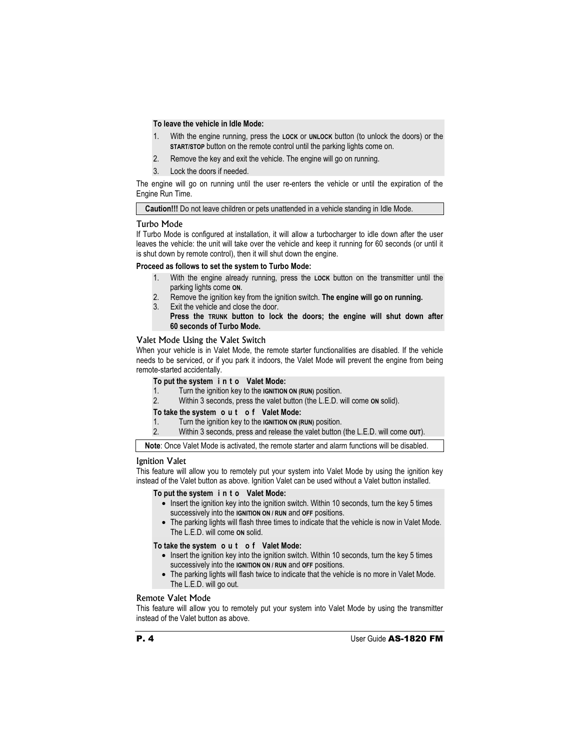# **To leave the vehicle in Idle Mode:**

- 1. With the engine running, press the **LOCK** or **UNLOCK** button (to unlock the doors) or the **START/STOP** button on the remote control until the parking lights come on.
- 2. Remove the key and exit the vehicle. The engine will go on running.
- 3. Lock the doors if needed.

The engine will go on running until the user re-enters the vehicle or until the expiration of the Engine Run Time.

**Caution!!!** Do not leave children or pets unattended in a vehicle standing in Idle Mode.

# Turbo Mode

If Turbo Mode is configured at installation, it will allow a turbocharger to idle down after the user leaves the vehicle: the unit will take over the vehicle and keep it running for 60 seconds (or until it is shut down by remote control), then it will shut down the engine.

# **Proceed as follows to set the system to Turbo Mode:**

- 1. With the engine already running, press the **LOCK** button on the transmitter until the parking lights come **ON**.
- 2. Remove the ignition key from the ignition switch. **The engine will go on running.**
- 3. Exit the vehicle and close the door.

 **Press the TRUNK button to lock the doors; the engine will shut down after 60 seconds of Turbo Mode.** 

# Valet Mode Using the Valet Switch

When your vehicle is in Valet Mode, the remote starter functionalities are disabled. If the vehicle needs to be serviced, or if you park it indoors, the Valet Mode will prevent the engine from being remote-started accidentally.

#### **To put the system i n t o Valet Mode:**

- 1. Turn the ignition key to the **IGNITION ON (RUN)** position.<br>2. Within 3 seconds, press the valet button (the L.E.D. w
- 2. Within 3 seconds, press the valet button (the L.E.D. will come **ON** solid).

#### **To take the system o u t o f Valet Mode:**

- 1. Turn the ignition key to the **IGNITION ON (RUN)** position.
- 2. Within 3 seconds, press and release the valet button (the L.E.D. will come **OUT**).

**Note**: Once Valet Mode is activated, the remote starter and alarm functions will be disabled.

# Ignition Valet

This feature will allow you to remotely put your system into Valet Mode by using the ignition key instead of the Valet button as above. Ignition Valet can be used without a Valet button installed.

# **To put the system i n t o Valet Mode:**

- Insert the ignition key into the ignition switch. Within 10 seconds, turn the key 5 times successively into the **IGNITION ON / RUN** and **OFF** positions.
- The parking lights will flash three times to indicate that the vehicle is now in Valet Mode. The L.E.D. will come **ON** solid.

# **To take the system o u t o f Valet Mode:**

- Insert the ignition key into the ignition switch. Within 10 seconds, turn the key 5 times successively into the **IGNITION ON / RUN** and **OFF** positions.
- The parking lights will flash twice to indicate that the vehicle is no more in Valet Mode. The L.E.D. will go out.

# Remote Valet Mode

This feature will allow you to remotely put your system into Valet Mode by using the transmitter instead of the Valet button as above.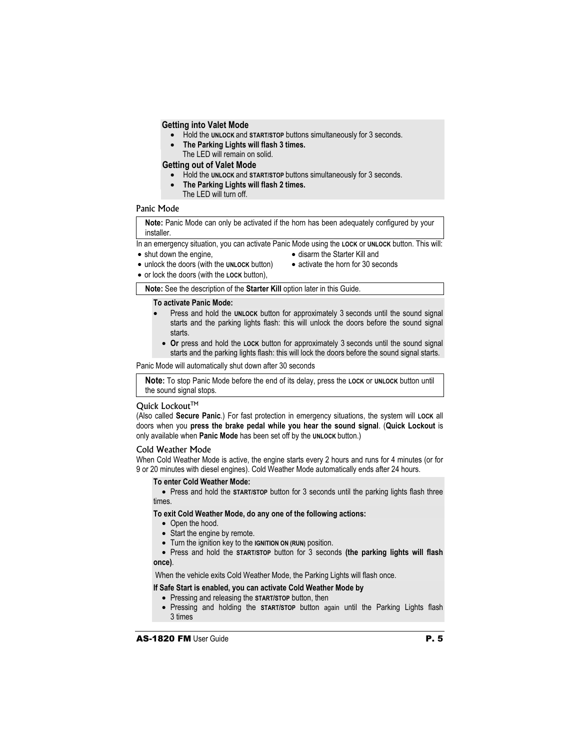# **Getting into Valet Mode**

- Hold the **UNLOCK** and **START/STOP** buttons simultaneously for 3 seconds.
- **The Parking Lights will flash 3 times.**  The LED will remain on solid.

**Getting out of Valet Mode** 

- Hold the **UNLOCK** and **START/STOP** buttons simultaneously for 3 seconds.
- **The Parking Lights will flash 2 times.**  The LED will turn off.

# Panic Mode

**Note:** Panic Mode can only be activated if the horn has been adequately configured by your installer.

In an emergency situation, you can activate Panic Mode using the **LOCK** or **UNLOCK** button. This will:

- shut down the engine,
- disarm the Starter Kill and
- unlock the doors (with the **UNLOCK** button)
- activate the horn for 30 seconds
- or lock the doors (with the **LOCK** button),

**Note:** See the description of the **Starter Kill** option later in this Guide.

# **To activate Panic Mode:**

- Press and hold the UNLOCK button for approximately 3 seconds until the sound signal starts and the parking lights flash: this will unlock the doors before the sound signal starts.
- **Or** press and hold the **LOCK** button for approximately 3 seconds until the sound signal starts and the parking lights flash: this will lock the doors before the sound signal starts.

Panic Mode will automatically shut down after 30 seconds

**Note:** To stop Panic Mode before the end of its delay, press the **LOCK** or **UNLOCK** button until the sound signal stops.

# Ouick Lockout<sup>™</sup>

(Also called **Secure Panic**.) For fast protection in emergency situations, the system will **LOCK** all doors when you **press the brake pedal while you hear the sound signal**. (**Quick Lockout** is only available when **Panic Mode** has been set off by the **UNLOCK** button.)

# Cold Weather Mode

When Cold Weather Mode is active, the engine starts every 2 hours and runs for 4 minutes (or for 9 or 20 minutes with diesel engines). Cold Weather Mode automatically ends after 24 hours.

#### **To enter Cold Weather Mode:**

• Press and hold the **START/STOP** button for 3 seconds until the parking lights flash three times.

**To exit Cold Weather Mode, do any one of the following actions:** 

- Open the hood.
- Start the engine by remote.
- Turn the ignition key to the **IGNITION ON (RUN)** position.
- Press and hold the **START/STOP** button for 3 seconds **(the parking lights will flash once)**.

When the vehicle exits Cold Weather Mode, the Parking Lights will flash once.

# **If Safe Start is enabled, you can activate Cold Weather Mode by**

- Pressing and releasing the **START/STOP** button, then
- Pressing and holding the **START/STOP** button again until the Parking Lights flash 3 times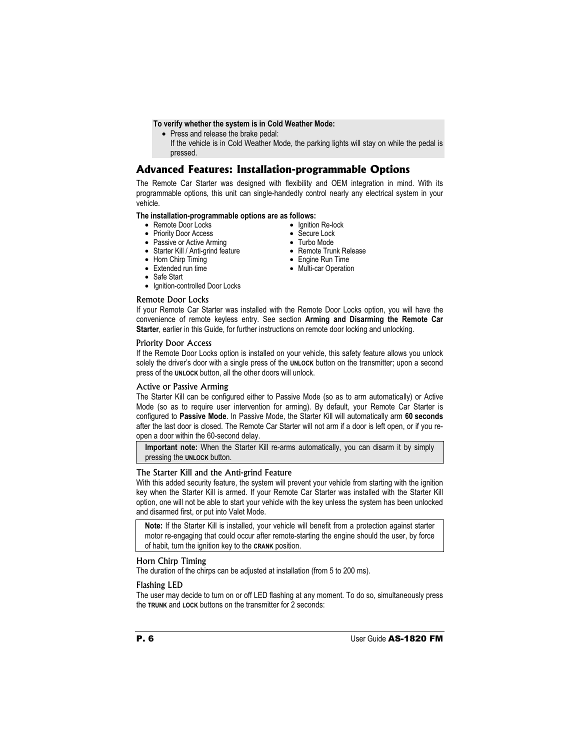# **To verify whether the system is in Cold Weather Mode:**

- Press and release the brake pedal:
- If the vehicle is in Cold Weather Mode, the parking lights will stay on while the pedal is pressed.

# **Advanced Features: Installation-programmable Options**

The Remote Car Starter was designed with flexibility and OEM integration in mind. With its programmable options, this unit can single-handedly control nearly any electrical system in your vehicle.

# **The installation-programmable options are as follows:**

- Remote Door Locks
- Priority Door Access
- Passive or Active Arming
- Starter Kill / Anti-grind feature
- Horn Chirp Timing
- Extended run time
- Safe Start
- Ignition-controlled Door Locks

# Remote Door Locks

- Ignition Re-lock
- Secure Lock
- Turbo Mode
- Remote Trunk Release
- Engine Run Time
- Multi-car Operation

If your Remote Car Starter was installed with the Remote Door Locks option, you will have the convenience of remote keyless entry. See section **Arming and Disarming the Remote Car Starter**, earlier in this Guide, for further instructions on remote door locking and unlocking.

# Priority Door Access

If the Remote Door Locks option is installed on your vehicle, this safety feature allows you unlock solely the driver's door with a single press of the **UNLOCK** button on the transmitter; upon a second press of the **UNLOCK** button, all the other doors will unlock.

# Active or Passive Arming

The Starter Kill can be configured either to Passive Mode (so as to arm automatically) or Active Mode (so as to require user intervention for arming). By default, your Remote Car Starter is configured to **Passive Mode**. In Passive Mode, the Starter Kill will automatically arm **60 seconds**  after the last door is closed. The Remote Car Starter will not arm if a door is left open, or if you reopen a door within the 60-second delay.

**Important note:** When the Starter Kill re-arms automatically, you can disarm it by simply pressing the **UNLOCK** button.

# The Starter Kill and the Anti-grind Feature

With this added security feature, the system will prevent your vehicle from starting with the ignition key when the Starter Kill is armed. If your Remote Car Starter was installed with the Starter Kill option, one will not be able to start your vehicle with the key unless the system has been unlocked and disarmed first, or put into Valet Mode.

**Note:** If the Starter Kill is installed, your vehicle will benefit from a protection against starter motor re-engaging that could occur after remote-starting the engine should the user, by force of habit, turn the ignition key to the **CRANK** position.

# Horn Chirp Timing

The duration of the chirps can be adjusted at installation (from 5 to 200 ms).

# Flashing LED

The user may decide to turn on or off LED flashing at any moment. To do so, simultaneously press the **TRUNK** and **LOCK** buttons on the transmitter for 2 seconds: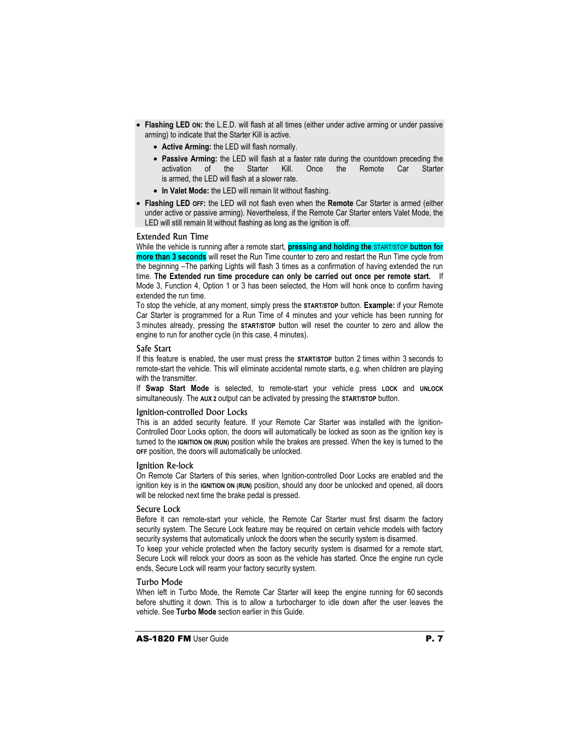- **Flashing LED ON:** the L.E.D. will flash at all times (either under active arming or under passive arming) to indicate that the Starter Kill is active.
	- **Active Arming:** the LED will flash normally.
	- **Passive Arming:** the LED will flash at a faster rate during the countdown preceding the activation of the Starter Kill. Once the Remote Car Starter is armed, the LED will flash at a slower rate.
	- **In Valet Mode:** the LED will remain lit without flashing.
- **Flashing LED OFF:** the LED will not flash even when the **Remote** Car Starter is armed (either under active or passive arming). Nevertheless, if the Remote Car Starter enters Valet Mode, the LED will still remain lit without flashing as long as the ignition is off.

#### Extended Run Time

While the vehicle is running after a remote start, **pressing and holding the** START/STOP **button for more than 3 seconds** will reset the Run Time counter to zero and restart the Run Time cycle from the beginning –The parking Lights will flash 3 times as a confirmation of having extended the run time. **The Extended run time procedure can only be carried out once per remote start.** If Mode 3, Function 4, Option 1 or 3 has been selected, the Horn will honk once to confirm having extended the run time.

To stop the vehicle, at any moment, simply press the **START/STOP** button. **Example:** if your Remote Car Starter is programmed for a Run Time of 4 minutes and your vehicle has been running for 3 minutes already, pressing the **START/STOP** button will reset the counter to zero and allow the engine to run for another cycle (in this case, 4 minutes).

#### Safe Start

If this feature is enabled, the user must press the **START/STOP** button 2 times within 3 seconds to remote-start the vehicle. This will eliminate accidental remote starts, e.g. when children are playing with the transmitter.

If **Swap Start Mode** is selected, to remote-start your vehicle press **LOCK** and **UNLOCK** simultaneously. The **AUX 2** output can be activated by pressing the **START/STOP** button.

# Ignition-controlled Door Locks

This is an added security feature. If your Remote Car Starter was installed with the Ignition-Controlled Door Locks option, the doors will automatically be locked as soon as the ignition key is turned to the **IGNITION ON (RUN)** position while the brakes are pressed. When the key is turned to the **OFF** position, the doors will automatically be unlocked.

#### Ignition Re-lock

On Remote Car Starters of this series, when Ignition-controlled Door Locks are enabled and the ignition key is in the **IGNITION ON (RUN)** position, should any door be unlocked and opened, all doors will be relocked next time the brake pedal is pressed.

# Secure Lock

Before it can remote-start your vehicle, the Remote Car Starter must first disarm the factory security system. The Secure Lock feature may be required on certain vehicle models with factory security systems that automatically unlock the doors when the security system is disarmed.

To keep your vehicle protected when the factory security system is disarmed for a remote start, Secure Lock will relock your doors as soon as the vehicle has started. Once the engine run cycle ends, Secure Lock will rearm your factory security system.

# Turbo Mode

When left in Turbo Mode, the Remote Car Starter will keep the engine running for 60 seconds before shutting it down. This is to allow a turbocharger to idle down after the user leaves the vehicle. See **Turbo Mode** section earlier in this Guide.